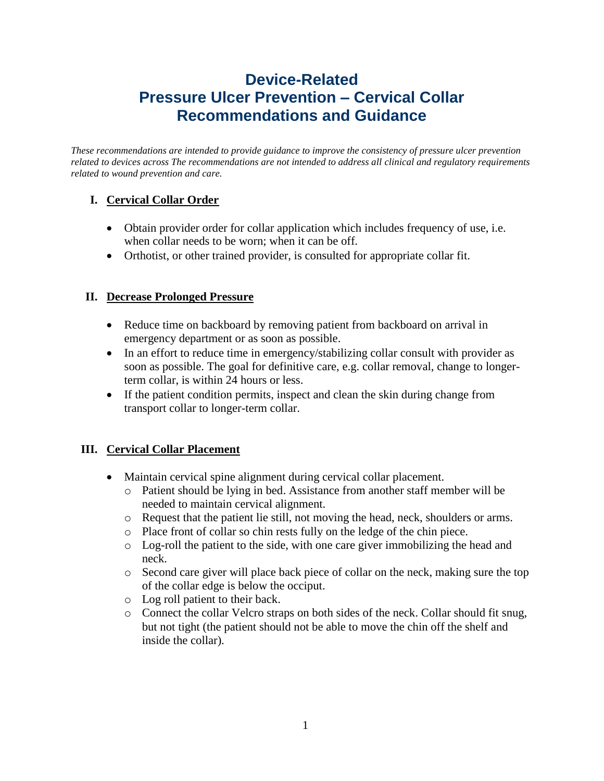# **Device-Related Pressure Ulcer Prevention – Cervical Collar Recommendations and Guidance**

*These recommendations are intended to provide guidance to improve the consistency of pressure ulcer prevention related to devices across The recommendations are not intended to address all clinical and regulatory requirements related to wound prevention and care.*

## **I. Cervical Collar Order**

- Obtain provider order for collar application which includes frequency of use, i.e. when collar needs to be worn; when it can be off.
- Orthotist, or other trained provider, is consulted for appropriate collar fit.

## **II. Decrease Prolonged Pressure**

- Reduce time on backboard by removing patient from backboard on arrival in emergency department or as soon as possible.
- In an effort to reduce time in emergency/stabilizing collar consult with provider as soon as possible. The goal for definitive care, e.g. collar removal, change to longerterm collar, is within 24 hours or less.
- If the patient condition permits, inspect and clean the skin during change from transport collar to longer-term collar.

## **III. Cervical Collar Placement**

- Maintain cervical spine alignment during cervical collar placement.
	- o Patient should be lying in bed. Assistance from another staff member will be needed to maintain cervical alignment.
	- o Request that the patient lie still, not moving the head, neck, shoulders or arms.
	- o Place front of collar so chin rests fully on the ledge of the chin piece.
	- o Log-roll the patient to the side, with one care giver immobilizing the head and neck.
	- o Second care giver will place back piece of collar on the neck, making sure the top of the collar edge is below the occiput.
	- o Log roll patient to their back.
	- o Connect the collar Velcro straps on both sides of the neck. Collar should fit snug, but not tight (the patient should not be able to move the chin off the shelf and inside the collar).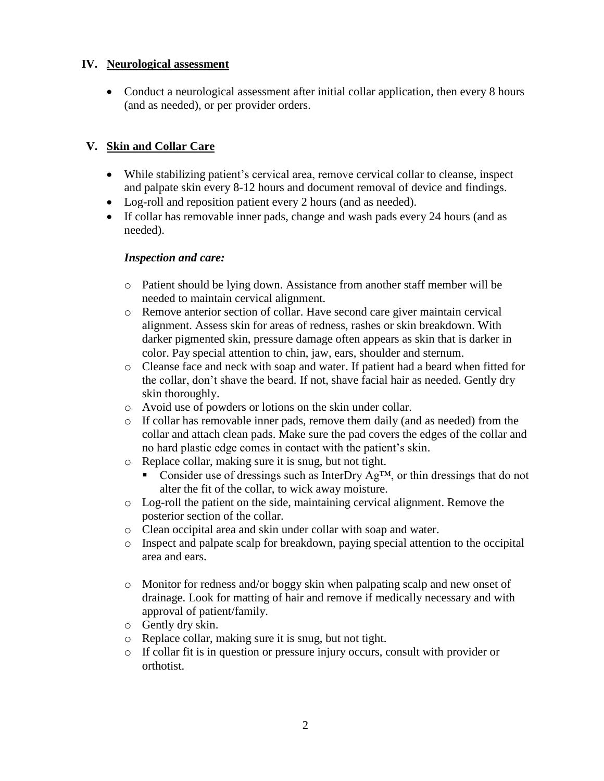#### **IV. Neurological assessment**

• Conduct a neurological assessment after initial collar application, then every 8 hours (and as needed), or per provider orders.

## **V. Skin and Collar Care**

- While stabilizing patient's cervical area, remove cervical collar to cleanse, inspect and palpate skin every 8-12 hours and document removal of device and findings.
- Log-roll and reposition patient every 2 hours (and as needed).
- If collar has removable inner pads, change and wash pads every 24 hours (and as needed).

### *Inspection and care:*

- o Patient should be lying down. Assistance from another staff member will be needed to maintain cervical alignment.
- o Remove anterior section of collar. Have second care giver maintain cervical alignment. Assess skin for areas of redness, rashes or skin breakdown. With darker pigmented skin, pressure damage often appears as skin that is darker in color. Pay special attention to chin, jaw, ears, shoulder and sternum.
- o Cleanse face and neck with soap and water. If patient had a beard when fitted for the collar, don't shave the beard. If not, shave facial hair as needed. Gently dry skin thoroughly.
- o Avoid use of powders or lotions on the skin under collar.
- $\circ$  If collar has removable inner pads, remove them daily (and as needed) from the collar and attach clean pads. Make sure the pad covers the edges of the collar and no hard plastic edge comes in contact with the patient's skin.
- o Replace collar, making sure it is snug, but not tight.
	- Consider use of dressings such as InterDry  $Ag^{TM}$ , or thin dressings that do not alter the fit of the collar, to wick away moisture.
- o Log-roll the patient on the side, maintaining cervical alignment. Remove the posterior section of the collar.
- o Clean occipital area and skin under collar with soap and water.
- o Inspect and palpate scalp for breakdown, paying special attention to the occipital area and ears.
- o Monitor for redness and/or boggy skin when palpating scalp and new onset of drainage. Look for matting of hair and remove if medically necessary and with approval of patient/family.
- o Gently dry skin.
- o Replace collar, making sure it is snug, but not tight.
- o If collar fit is in question or pressure injury occurs, consult with provider or orthotist.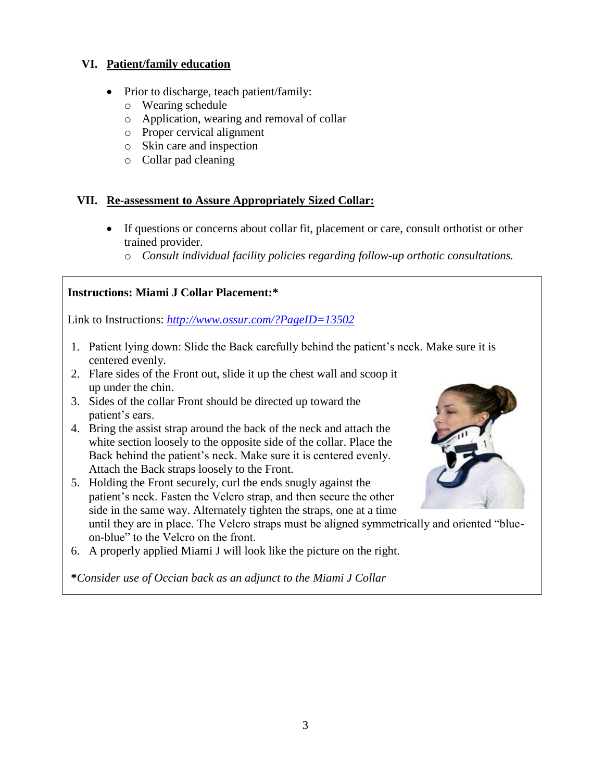#### **VI. Patient/family education**

- Prior to discharge, teach patient/family:
	- o Wearing schedule
	- o Application, wearing and removal of collar
	- o Proper cervical alignment
	- o Skin care and inspection
	- o Collar pad cleaning

## **VII. Re-assessment to Assure Appropriately Sized Collar:**

- If questions or concerns about collar fit, placement or care, consult orthotist or other trained provider.
	- o *Consult individual facility policies regarding follow-up orthotic consultations.*

## **Instructions: Miami J Collar Placement:\***

Link to Instructions: *<http://www.ossur.com/?PageID=13502>*

- 1. Patient lying down: Slide the Back carefully behind the patient's neck. Make sure it is centered evenly.
- 2. Flare sides of the Front out, slide it up the chest wall and scoop it up under the chin.
- 3. Sides of the collar Front should be directed up toward the patient's ears.
- 4. Bring the assist strap around the back of the neck and attach the white section loosely to the opposite side of the collar. Place the Back behind the patient's neck. Make sure it is centered evenly. Attach the Back straps loosely to the Front.
- 5. Holding the Front securely, curl the ends snugly against the patient's neck. Fasten the Velcro strap, and then secure the other side in the same way. Alternately tighten the straps, one at a time until they are in place. The Velcro straps must be aligned symmetrically and oriented "blueon-blue" to the Velcro on the front.
- 6. A properly applied Miami J will look like the picture on the right.

**\****Consider use of Occian back as an adjunct to the Miami J Collar*

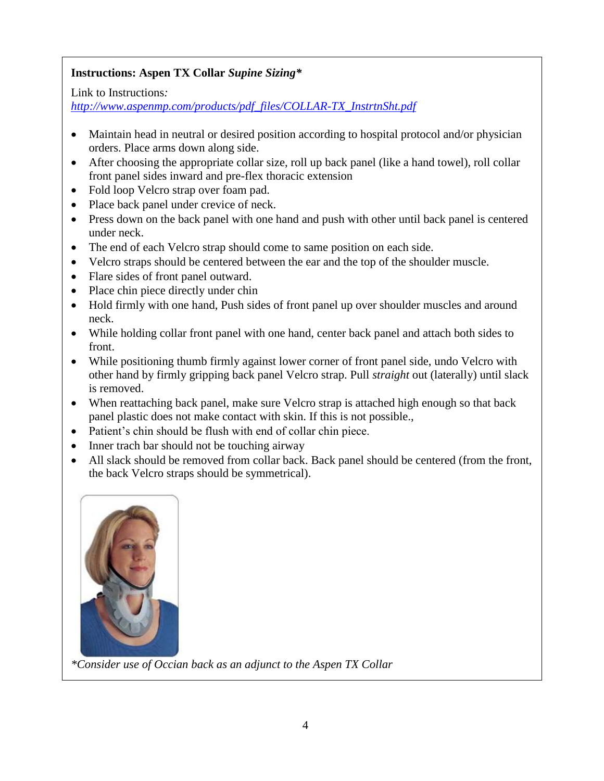## **Instructions: Aspen TX Collar** *Supine Sizing\**

Link to Instructions*:*

*[http://www.aspenmp.com/products/pdf\\_files/COLLAR-TX\\_InstrtnSht.pdf](http://www.aspenmp.com/products/pdf_files/COLLAR-TX_InstrtnSht.pdf)*

- Maintain head in neutral or desired position according to hospital protocol and/or physician orders. Place arms down along side.
- After choosing the appropriate collar size, roll up back panel (like a hand towel), roll collar front panel sides inward and pre-flex thoracic extension
- Fold loop Velcro strap over foam pad.
- Place back panel under crevice of neck.
- Press down on the back panel with one hand and push with other until back panel is centered under neck.
- The end of each Velcro strap should come to same position on each side.
- Velcro straps should be centered between the ear and the top of the shoulder muscle.
- Flare sides of front panel outward.
- Place chin piece directly under chin
- Hold firmly with one hand, Push sides of front panel up over shoulder muscles and around neck.
- While holding collar front panel with one hand, center back panel and attach both sides to front.
- While positioning thumb firmly against lower corner of front panel side, undo Velcro with other hand by firmly gripping back panel Velcro strap. Pull *straight* out (laterally) until slack is removed.
- When reattaching back panel, make sure Velcro strap is attached high enough so that back panel plastic does not make contact with skin. If this is not possible.,
- Patient's chin should be flush with end of collar chin piece.
- Inner trach bar should not be touching airway
- All slack should be removed from collar back. Back panel should be centered (from the front, the back Velcro straps should be symmetrical).



*\*Consider use of Occian back as an adjunct to the Aspen TX Collar*